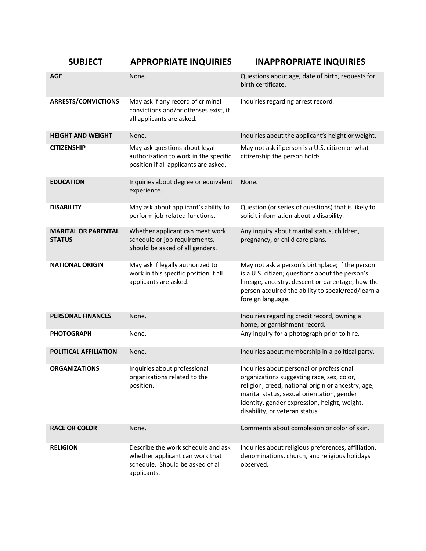| <b>SUBJECT</b>                              | <b>APPROPRIATE INQUIRIES</b>                                                                                             | <b>INAPPROPRIATE INQUIRIES</b>                                                                                                                                                                                                                                              |
|---------------------------------------------|--------------------------------------------------------------------------------------------------------------------------|-----------------------------------------------------------------------------------------------------------------------------------------------------------------------------------------------------------------------------------------------------------------------------|
| <b>AGE</b>                                  | None.                                                                                                                    | Questions about age, date of birth, requests for<br>birth certificate.                                                                                                                                                                                                      |
| <b>ARRESTS/CONVICTIONS</b>                  | May ask if any record of criminal<br>convictions and/or offenses exist, if<br>all applicants are asked.                  | Inquiries regarding arrest record.                                                                                                                                                                                                                                          |
| <b>HEIGHT AND WEIGHT</b>                    | None.                                                                                                                    | Inquiries about the applicant's height or weight.                                                                                                                                                                                                                           |
| <b>CITIZENSHIP</b>                          | May ask questions about legal<br>authorization to work in the specific<br>position if all applicants are asked.          | May not ask if person is a U.S. citizen or what<br>citizenship the person holds.                                                                                                                                                                                            |
| <b>EDUCATION</b>                            | Inquiries about degree or equivalent<br>experience.                                                                      | None.                                                                                                                                                                                                                                                                       |
| <b>DISABILITY</b>                           | May ask about applicant's ability to<br>perform job-related functions.                                                   | Question (or series of questions) that is likely to<br>solicit information about a disability.                                                                                                                                                                              |
| <b>MARITAL OR PARENTAL</b><br><b>STATUS</b> | Whether applicant can meet work<br>schedule or job requirements.<br>Should be asked of all genders.                      | Any inquiry about marital status, children,<br>pregnancy, or child care plans.                                                                                                                                                                                              |
| <b>NATIONAL ORIGIN</b>                      | May ask if legally authorized to<br>work in this specific position if all<br>applicants are asked.                       | May not ask a person's birthplace; if the person<br>is a U.S. citizen; questions about the person's<br>lineage, ancestry, descent or parentage; how the<br>person acquired the ability to speak/read/learn a<br>foreign language.                                           |
| <b>PERSONAL FINANCES</b>                    | None.                                                                                                                    | Inquiries regarding credit record, owning a<br>home, or garnishment record.                                                                                                                                                                                                 |
| <b>PHOTOGRAPH</b>                           | None.                                                                                                                    | Any inquiry for a photograph prior to hire.                                                                                                                                                                                                                                 |
| POLITICAL AFFILIATION                       | None.                                                                                                                    | Inquiries about membership in a political party.                                                                                                                                                                                                                            |
| <b>ORGANIZATIONS</b>                        | Inquiries about professional<br>organizations related to the<br>position.                                                | Inquiries about personal or professional<br>organizations suggesting race, sex, color,<br>religion, creed, national origin or ancestry, age,<br>marital status, sexual orientation, gender<br>identity, gender expression, height, weight,<br>disability, or veteran status |
| <b>RACE OR COLOR</b>                        | None.                                                                                                                    | Comments about complexion or color of skin.                                                                                                                                                                                                                                 |
| <b>RELIGION</b>                             | Describe the work schedule and ask<br>whether applicant can work that<br>schedule. Should be asked of all<br>applicants. | Inquiries about religious preferences, affiliation,<br>denominations, church, and religious holidays<br>observed.                                                                                                                                                           |